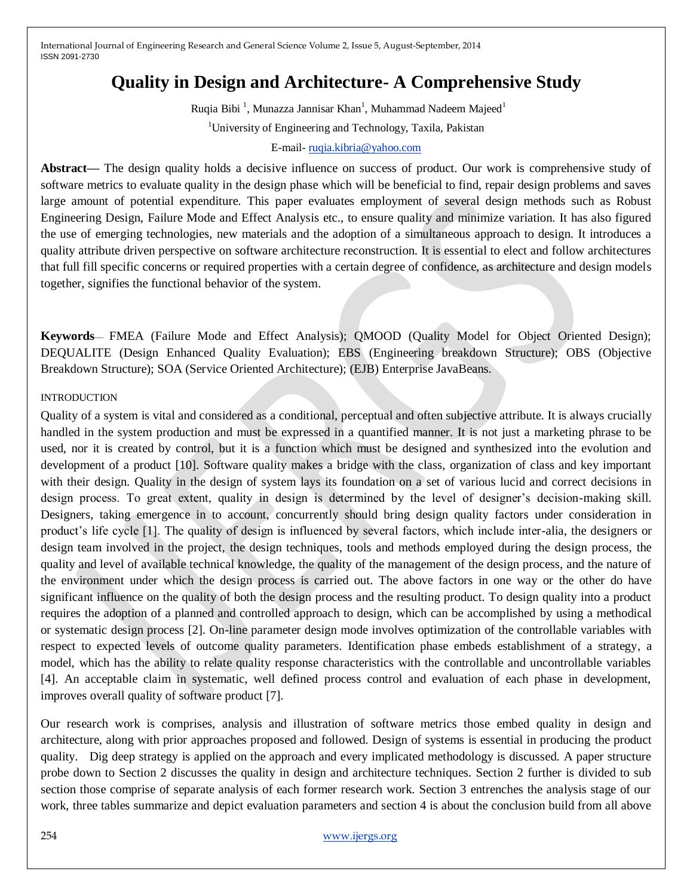# **Quality in Design and Architecture- A Comprehensive Study**

Ruqia Bibi<sup>1</sup>, Munazza Jannisar Khan<sup>1</sup>, Muhammad Nadeem Majeed<sup>1</sup> <sup>1</sup>University of Engineering and Technology, Taxila, Pakistan

#### E-mail- [ruqia.kibria@yahoo.com](mailto:ruqia.kibria@yahoo.com)

**Abstract—** The design quality holds a decisive influence on success of product. Our work is comprehensive study of software metrics to evaluate quality in the design phase which will be beneficial to find, repair design problems and saves large amount of potential expenditure. This paper evaluates employment of several design methods such as Robust Engineering Design, Failure Mode and Effect Analysis etc., to ensure quality and minimize variation. It has also figured the use of emerging technologies, new materials and the adoption of a simultaneous approach to design. It introduces a quality attribute driven perspective on software architecture reconstruction. It is essential to elect and follow architectures that full fill specific concerns or required properties with a certain degree of confidence, as architecture and design models together, signifies the functional behavior of the system.

**Keywords**— FMEA (Failure Mode and Effect Analysis); QMOOD (Quality Model for Object Oriented Design); DEQUALITE (Design Enhanced Quality Evaluation); EBS (Engineering breakdown Structure); OBS (Objective Breakdown Structure); SOA (Service Oriented Architecture); (EJB) Enterprise JavaBeans.

#### INTRODUCTION

Quality of a system is vital and considered as a conditional, perceptual and often subjective attribute. It is always crucially handled in the system production and must be expressed in a quantified manner. It is not just a marketing phrase to be used, nor it is created by control, but it is a function which must be designed and synthesized into the evolution and development of a product [10]. Software quality makes a bridge with the class, organization of class and key important with their design. Quality in the design of system lays its foundation on a set of various lucid and correct decisions in design process. To great extent, quality in design is determined by the level of designer's decision-making skill. Designers, taking emergence in to account, concurrently should bring design quality factors under consideration in product's life cycle [1]. The quality of design is influenced by several factors, which include inter-alia, the designers or design team involved in the project, the design techniques, tools and methods employed during the design process, the quality and level of available technical knowledge, the quality of the management of the design process, and the nature of the environment under which the design process is carried out. The above factors in one way or the other do have significant influence on the quality of both the design process and the resulting product. To design quality into a product requires the adoption of a planned and controlled approach to design, which can be accomplished by using a methodical or systematic design process [2]. On-line parameter design mode involves optimization of the controllable variables with respect to expected levels of outcome quality parameters. Identification phase embeds establishment of a strategy, a model, which has the ability to relate quality response characteristics with the controllable and uncontrollable variables [4]. An acceptable claim in systematic, well defined process control and evaluation of each phase in development, improves overall quality of software product [7].

Our research work is comprises, analysis and illustration of software metrics those embed quality in design and architecture, along with prior approaches proposed and followed. Design of systems is essential in producing the product quality. Dig deep strategy is applied on the approach and every implicated methodology is discussed. A paper structure probe down to Section 2 discusses the quality in design and architecture techniques. Section 2 further is divided to sub section those comprise of separate analysis of each former research work. Section 3 entrenches the analysis stage of our work, three tables summarize and depict evaluation parameters and section 4 is about the conclusion build from all above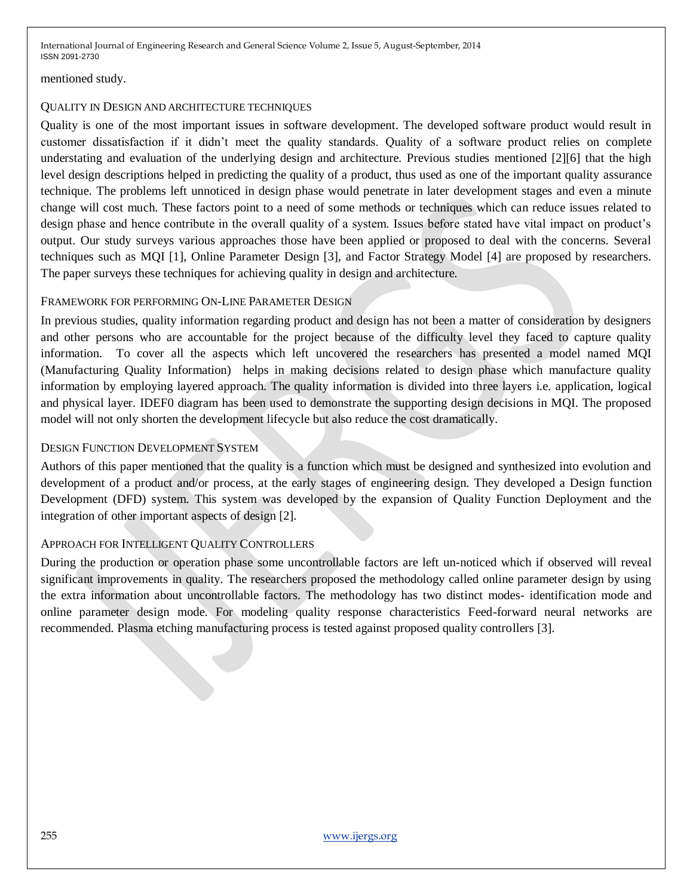mentioned study.

### QUALITY IN DESIGN AND ARCHITECTURE TECHNIQUES

Quality is one of the most important issues in software development. The developed software product would result in customer dissatisfaction if it didn't meet the quality standards. Quality of a software product relies on complete understating and evaluation of the underlying design and architecture. Previous studies mentioned [2][6] that the high level design descriptions helped in predicting the quality of a product, thus used as one of the important quality assurance technique. The problems left unnoticed in design phase would penetrate in later development stages and even a minute change will cost much. These factors point to a need of some methods or techniques which can reduce issues related to design phase and hence contribute in the overall quality of a system. Issues before stated have vital impact on product's output. Our study surveys various approaches those have been applied or proposed to deal with the concerns. Several techniques such as MQI [1], Online Parameter Design [3], and Factor Strategy Model [4] are proposed by researchers. The paper surveys these techniques for achieving quality in design and architecture.

### FRAMEWORK FOR PERFORMING ON-LINE PARAMETER DESIGN

In previous studies, quality information regarding product and design has not been a matter of consideration by designers and other persons who are accountable for the project because of the difficulty level they faced to capture quality information. To cover all the aspects which left uncovered the researchers has presented a model named MQI (Manufacturing Quality Information) helps in making decisions related to design phase which manufacture quality information by employing layered approach. The quality information is divided into three layers i.e. application, logical and physical layer. IDEF0 diagram has been used to demonstrate the supporting design decisions in MQI. The proposed model will not only shorten the development lifecycle but also reduce the cost dramatically.

### DESIGN FUNCTION DEVELOPMENT SYSTEM

Authors of this paper mentioned that the quality is a function which must be designed and synthesized into evolution and development of a product and/or process, at the early stages of engineering design. They developed a Design function Development (DFD) system. This system was developed by the expansion of Quality Function Deployment and the integration of other important aspects of design [2].

### APPROACH FOR INTELLIGENT QUALITY CONTROLLERS

During the production or operation phase some uncontrollable factors are left un-noticed which if observed will reveal significant improvements in quality. The researchers proposed the methodology called online parameter design by using the extra information about uncontrollable factors. The methodology has two distinct modes- identification mode and online parameter design mode. For modeling quality response characteristics Feed-forward neural networks are recommended. Plasma etching manufacturing process is tested against proposed quality controllers [3].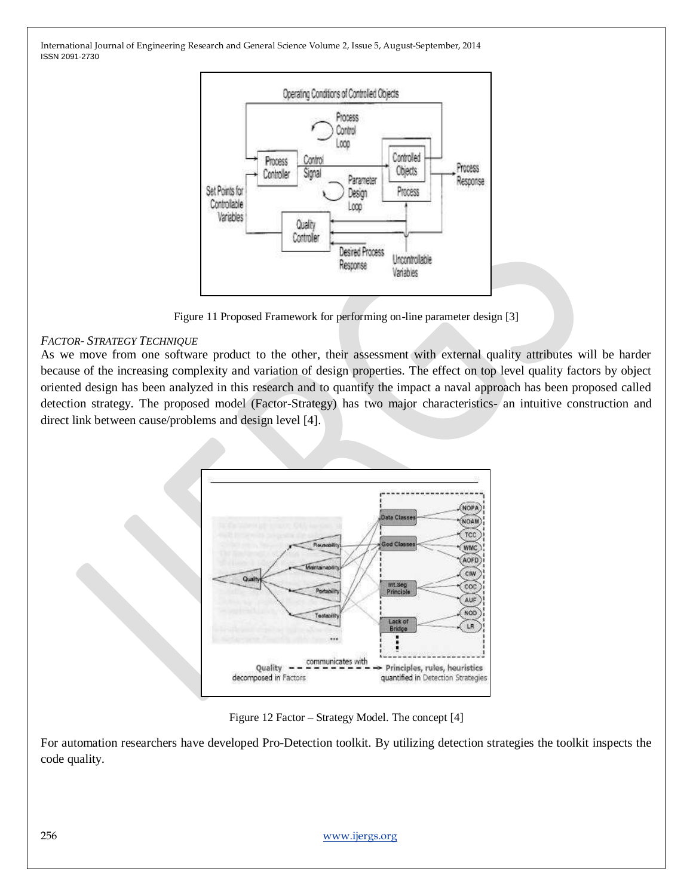

Figure 11 Proposed Framework for performing on-line parameter design [3]

### *FACTOR- STRATEGY TECHNIQUE*

As we move from one software product to the other, their assessment with external quality attributes will be harder because of the increasing complexity and variation of design properties. The effect on top level quality factors by object oriented design has been analyzed in this research and to quantify the impact a naval approach has been proposed called detection strategy. The proposed model (Factor-Strategy) has two major characteristics- an intuitive construction and direct link between cause/problems and design level [4].



Figure 12 Factor – Strategy Model. The concept [4]

For automation researchers have developed Pro-Detection toolkit. By utilizing detection strategies the toolkit inspects the code quality.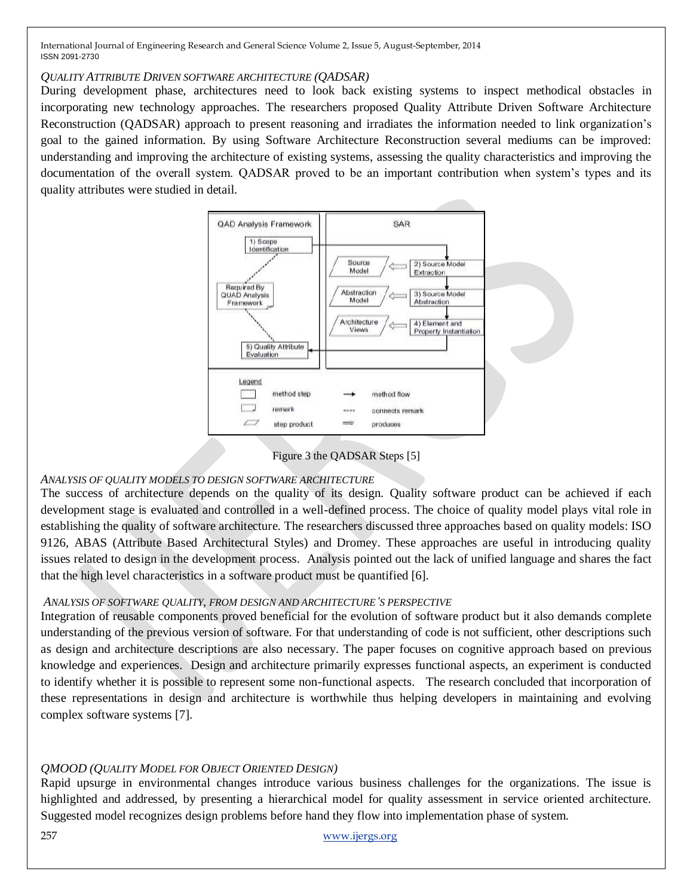### *QUALITY ATTRIBUTE DRIVEN SOFTWARE ARCHITECTURE (QADSAR)*

During development phase, architectures need to look back existing systems to inspect methodical obstacles in incorporating new technology approaches. The researchers proposed Quality Attribute Driven Software Architecture Reconstruction (QADSAR) approach to present reasoning and irradiates the information needed to link organization's goal to the gained information. By using Software Architecture Reconstruction several mediums can be improved: understanding and improving the architecture of existing systems, assessing the quality characteristics and improving the documentation of the overall system. QADSAR proved to be an important contribution when system's types and its quality attributes were studied in detail.





# *ANALYSIS OF QUALITY MODELS TO DESIGN SOFTWARE ARCHITECTURE*

The success of architecture depends on the quality of its design. Quality software product can be achieved if each development stage is evaluated and controlled in a well-defined process. The choice of quality model plays vital role in establishing the quality of software architecture. The researchers discussed three approaches based on quality models: ISO 9126, ABAS (Attribute Based Architectural Styles) and Dromey. These approaches are useful in introducing quality issues related to design in the development process. Analysis pointed out the lack of unified language and shares the fact that the high level characteristics in a software product must be quantified [6].

# *ANALYSIS OF SOFTWARE QUALITY, FROM DESIGN AND ARCHITECTURE'S PERSPECTIVE*

Integration of reusable components proved beneficial for the evolution of software product but it also demands complete understanding of the previous version of software. For that understanding of code is not sufficient, other descriptions such as design and architecture descriptions are also necessary. The paper focuses on cognitive approach based on previous knowledge and experiences. Design and architecture primarily expresses functional aspects, an experiment is conducted to identify whether it is possible to represent some non-functional aspects. The research concluded that incorporation of these representations in design and architecture is worthwhile thus helping developers in maintaining and evolving complex software systems [7].

# *QMOOD (QUALITY MODEL FOR OBJECT ORIENTED DESIGN)*

Rapid upsurge in environmental changes introduce various business challenges for the organizations. The issue is highlighted and addressed, by presenting a hierarchical model for quality assessment in service oriented architecture. Suggested model recognizes design problems before hand they flow into implementation phase of system.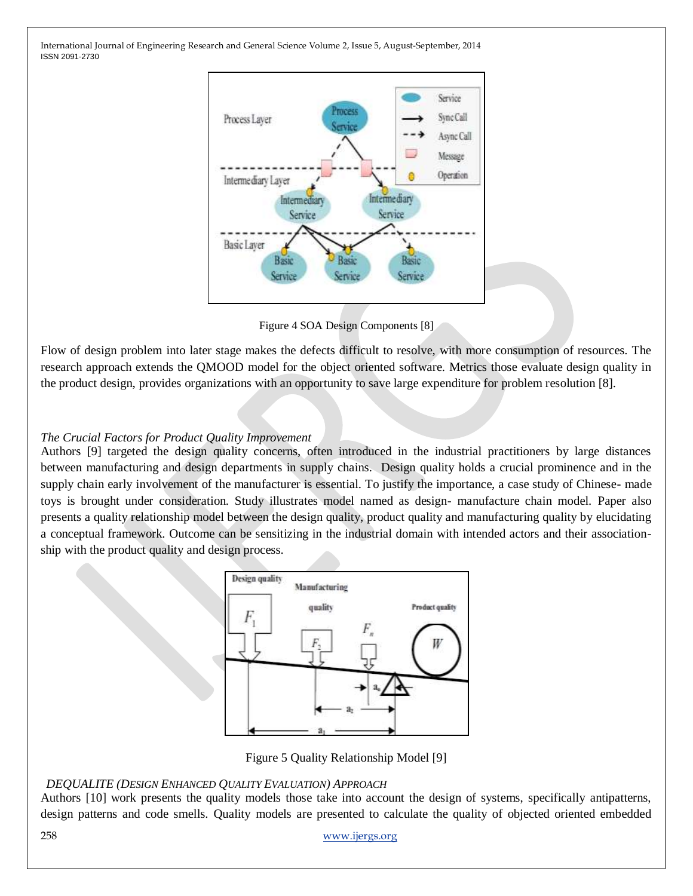

Figure 4 SOA Design Components [8]

Flow of design problem into later stage makes the defects difficult to resolve, with more consumption of resources. The research approach extends the QMOOD model for the object oriented software. Metrics those evaluate design quality in the product design, provides organizations with an opportunity to save large expenditure for problem resolution [8].

### *The Crucial Factors for Product Quality Improvement*

Authors [9] targeted the design quality concerns, often introduced in the industrial practitioners by large distances between manufacturing and design departments in supply chains. Design quality holds a crucial prominence and in the supply chain early involvement of the manufacturer is essential. To justify the importance, a case study of Chinese- made toys is brought under consideration. Study illustrates model named as design- manufacture chain model. Paper also presents a quality relationship model between the design quality, product quality and manufacturing quality by elucidating a conceptual framework. Outcome can be sensitizing in the industrial domain with intended actors and their associationship with the product quality and design process.



Figure 5 Quality Relationship Model [9]

### *DEQUALITE (DESIGN ENHANCED QUALITY EVALUATION) APPROACH*

Authors [10] work presents the quality models those take into account the design of systems, specifically antipatterns, design patterns and code smells. Quality models are presented to calculate the quality of objected oriented embedded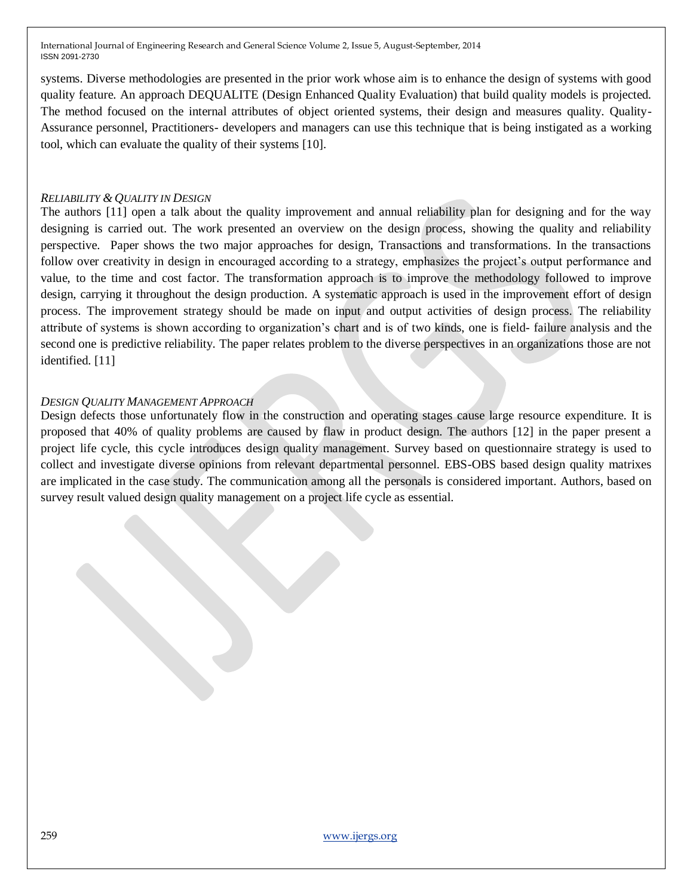systems. Diverse methodologies are presented in the prior work whose aim is to enhance the design of systems with good quality feature. An approach DEQUALITE (Design Enhanced Quality Evaluation) that build quality models is projected. The method focused on the internal attributes of object oriented systems, their design and measures quality. Quality-Assurance personnel, Practitioners- developers and managers can use this technique that is being instigated as a working tool, which can evaluate the quality of their systems [10].

#### *RELIABILITY & QUALITY IN DESIGN*

The authors [11] open a talk about the quality improvement and annual reliability plan for designing and for the way designing is carried out. The work presented an overview on the design process, showing the quality and reliability perspective. Paper shows the two major approaches for design, Transactions and transformations. In the transactions follow over creativity in design in encouraged according to a strategy, emphasizes the project's output performance and value, to the time and cost factor. The transformation approach is to improve the methodology followed to improve design, carrying it throughout the design production. A systematic approach is used in the improvement effort of design process. The improvement strategy should be made on input and output activities of design process. The reliability attribute of systems is shown according to organization's chart and is of two kinds, one is field- failure analysis and the second one is predictive reliability. The paper relates problem to the diverse perspectives in an organizations those are not identified. [11]

#### *DESIGN QUALITY MANAGEMENT APPROACH*

Design defects those unfortunately flow in the construction and operating stages cause large resource expenditure. It is proposed that 40% of quality problems are caused by flaw in product design. The authors [12] in the paper present a project life cycle, this cycle introduces design quality management. Survey based on questionnaire strategy is used to collect and investigate diverse opinions from relevant departmental personnel. EBS-OBS based design quality matrixes are implicated in the case study. The communication among all the personals is considered important. Authors, based on survey result valued design quality management on a project life cycle as essential.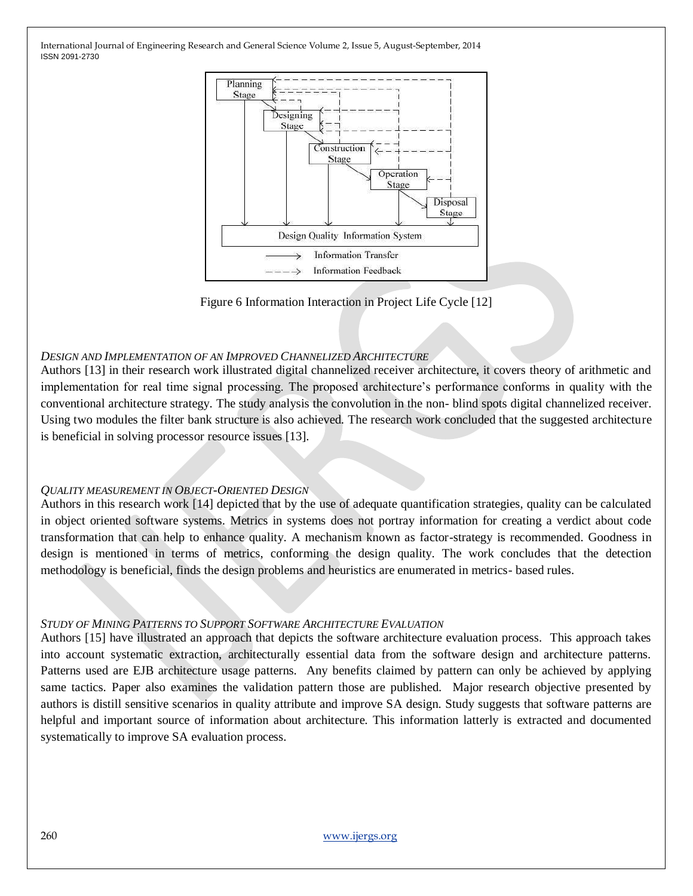

Figure 6 Information Interaction in Project Life Cycle [12]

### *DESIGN AND IMPLEMENTATION OF AN IMPROVED CHANNELIZED ARCHITECTURE*

Authors [13] in their research work illustrated digital channelized receiver architecture, it covers theory of arithmetic and implementation for real time signal processing. The proposed architecture's performance conforms in quality with the conventional architecture strategy. The study analysis the convolution in the non- blind spots digital channelized receiver. Using two modules the filter bank structure is also achieved. The research work concluded that the suggested architecture is beneficial in solving processor resource issues [13].

#### *QUALITY MEASUREMENT IN OBJECT-ORIENTED DESIGN*

Authors in this research work [14] depicted that by the use of adequate quantification strategies, quality can be calculated in object oriented software systems. Metrics in systems does not portray information for creating a verdict about code transformation that can help to enhance quality. A mechanism known as factor-strategy is recommended. Goodness in design is mentioned in terms of metrics, conforming the design quality. The work concludes that the detection methodology is beneficial, finds the design problems and heuristics are enumerated in metrics- based rules.

#### *STUDY OF MINING PATTERNS TO SUPPORT SOFTWARE ARCHITECTURE EVALUATION*

Authors [15] have illustrated an approach that depicts the software architecture evaluation process. This approach takes into account systematic extraction, architecturally essential data from the software design and architecture patterns. Patterns used are EJB architecture usage patterns. Any benefits claimed by pattern can only be achieved by applying same tactics. Paper also examines the validation pattern those are published. Major research objective presented by authors is distill sensitive scenarios in quality attribute and improve SA design. Study suggests that software patterns are helpful and important source of information about architecture. This information latterly is extracted and documented systematically to improve SA evaluation process.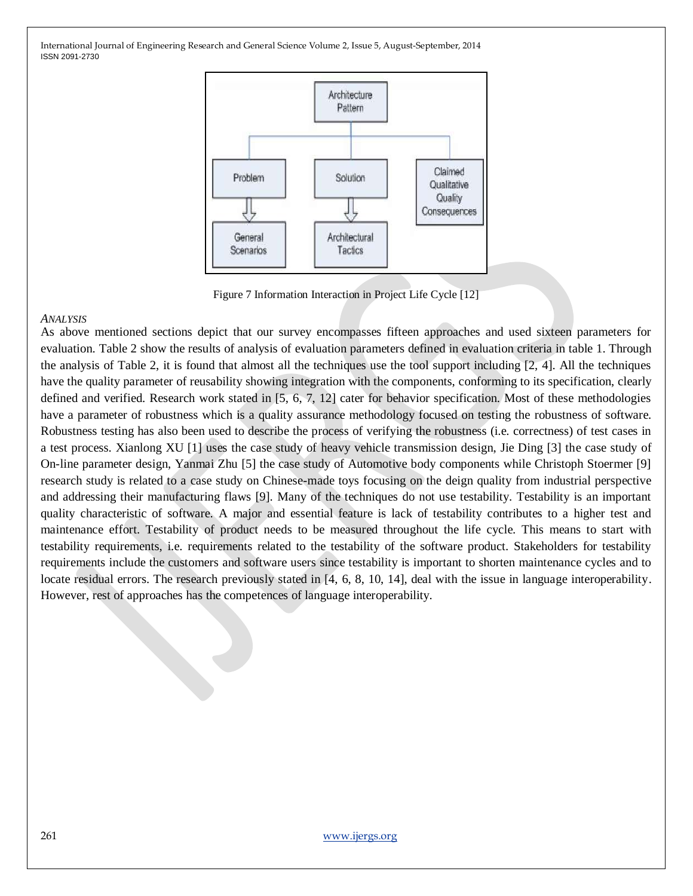

Figure 7 Information Interaction in Project Life Cycle [12]

#### *ANALYSIS*

As above mentioned sections depict that our survey encompasses fifteen approaches and used sixteen parameters for evaluation. Table 2 show the results of analysis of evaluation parameters defined in evaluation criteria in table 1. Through the analysis of Table 2, it is found that almost all the techniques use the tool support including [2, 4]. All the techniques have the quality parameter of reusability showing integration with the components, conforming to its specification, clearly defined and verified. Research work stated in [5, 6, 7, 12] cater for behavior specification. Most of these methodologies have a parameter of robustness which is a quality assurance methodology focused on testing the robustness of software. Robustness testing has also been used to describe the process of verifying the robustness (i.e. correctness) of test cases in a test process. Xianlong XU [1] uses the case study of heavy vehicle transmission design, Jie Ding [3] the case study of On-line parameter design, Yanmai Zhu [5] the case study of Automotive body components while Christoph Stoermer [9] research study is related to a case study on Chinese-made toys focusing on the deign quality from industrial perspective and addressing their manufacturing flaws [9]. Many of the techniques do not use testability. Testability is an important quality characteristic of software. A major and essential feature is lack of testability contributes to a higher test and maintenance effort. Testability of product needs to be measured throughout the life cycle. This means to start with testability requirements, i.e. requirements related to the testability of the software product. Stakeholders for testability requirements include the customers and software users since testability is important to shorten maintenance cycles and to locate residual errors. The research previously stated in [4, 6, 8, 10, 14], deal with the issue in language interoperability. However, rest of approaches has the competences of language interoperability.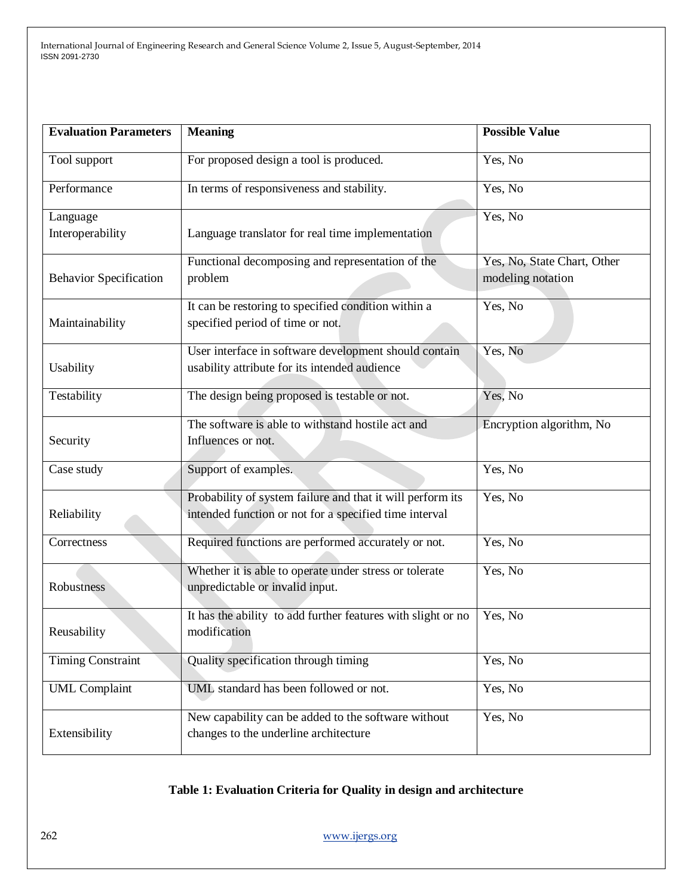| <b>Evaluation Parameters</b>  | <b>Meaning</b>                                               | <b>Possible Value</b>       |  |  |
|-------------------------------|--------------------------------------------------------------|-----------------------------|--|--|
| Tool support                  | For proposed design a tool is produced.                      | Yes, No                     |  |  |
| Performance                   | In terms of responsiveness and stability.                    | Yes, No                     |  |  |
| Language                      |                                                              | Yes, No                     |  |  |
| Interoperability              | Language translator for real time implementation             |                             |  |  |
|                               | Functional decomposing and representation of the             | Yes, No, State Chart, Other |  |  |
| <b>Behavior Specification</b> | problem                                                      |                             |  |  |
|                               | It can be restoring to specified condition within a          | Yes, No                     |  |  |
| Maintainability               | specified period of time or not.                             |                             |  |  |
|                               | User interface in software development should contain        | Yes, No                     |  |  |
| Usability                     | usability attribute for its intended audience                |                             |  |  |
| Testability                   | The design being proposed is testable or not.                | Yes, No                     |  |  |
|                               | The software is able to withstand hostile act and            | Encryption algorithm, No    |  |  |
| Security                      | Influences or not.                                           |                             |  |  |
| Case study                    | Support of examples.                                         | Yes, No                     |  |  |
|                               | Probability of system failure and that it will perform its   | Yes, No                     |  |  |
| Reliability                   | intended function or not for a specified time interval       |                             |  |  |
| Correctness                   | Required functions are performed accurately or not.          | Yes, No                     |  |  |
|                               | Whether it is able to operate under stress or tolerate       | Yes, No                     |  |  |
| Robustness                    | unpredictable or invalid input.                              |                             |  |  |
|                               | It has the ability to add further features with slight or no | Yes, No                     |  |  |
| Reusability                   | modification                                                 |                             |  |  |
| <b>Timing Constraint</b>      | Quality specification through timing                         | Yes, No                     |  |  |
| <b>UML</b> Complaint          | UML standard has been followed or not.                       | Yes, No                     |  |  |
|                               | New capability can be added to the software without          | Yes, No                     |  |  |
| Extensibility                 | changes to the underline architecture                        |                             |  |  |

### **Table 1: Evaluation Criteria for Quality in design and architecture**

262 [www.ijergs.org](http://www.ijergs.org/)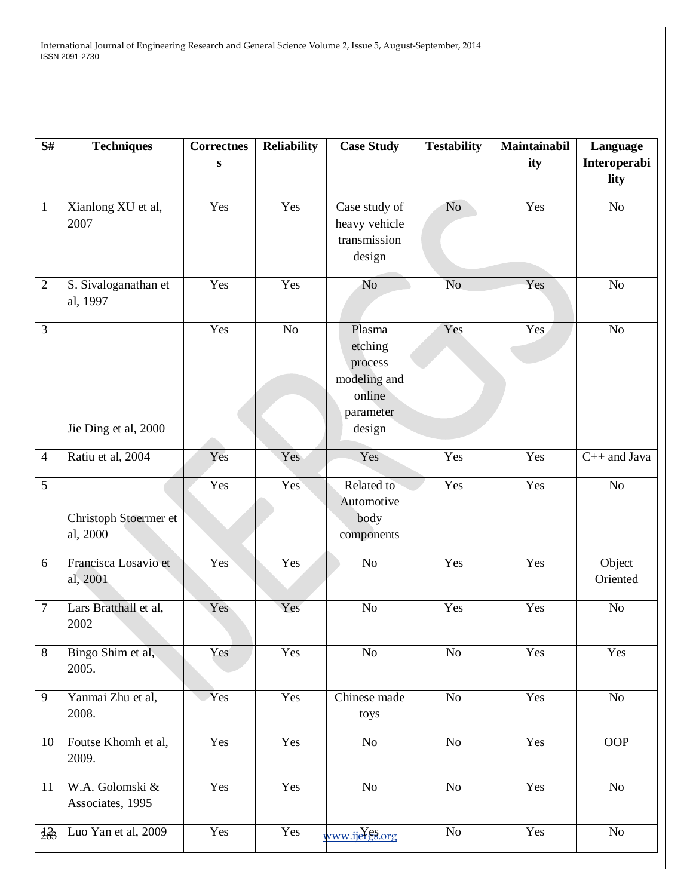| S#              | <b>Techniques</b>                   | <b>Correctnes</b><br>S | <b>Reliability</b> | <b>Case Study</b>                                                             | <b>Testability</b> | Maintainabil<br>ity | Language<br>Interoperabi<br>lity |
|-----------------|-------------------------------------|------------------------|--------------------|-------------------------------------------------------------------------------|--------------------|---------------------|----------------------------------|
| $\mathbf{1}$    | Xianlong XU et al,<br>2007          | Yes                    | Yes                | Case study of<br>heavy vehicle<br>transmission<br>design                      | N <sub>o</sub>     | Yes                 | No                               |
| $\overline{2}$  | S. Sivaloganathan et<br>al, 1997    | Yes                    | Yes                | N <sub>o</sub>                                                                | N <sub>o</sub>     | Yes                 | No                               |
| $\overline{3}$  | Jie Ding et al, 2000                | Yes                    | No                 | Plasma<br>etching<br>process<br>modeling and<br>online<br>parameter<br>design | Yes                | Yes                 | No                               |
| $\overline{4}$  | Ratiu et al, 2004                   | Yes                    | Yes                | Yes                                                                           | Yes                | Yes                 | $C++$ and Java                   |
| 5               | Christoph Stoermer et<br>al, 2000   | Yes                    | Yes                | Related to<br>Automotive<br>body<br>components                                | Yes                | Yes                 | No                               |
| 6               | Francisca Losavio et<br>al, 2001    | Yes                    | Yes                | No                                                                            | Yes                | Yes                 | Object<br>Oriented               |
| $\tau$          | Lars Bratthall et al,<br>2002       | Yes                    | Yes                | $\rm No$                                                                      | Yes                | Yes                 | No                               |
| $\,8\,$         | Bingo Shim et al,<br>2005.          | Yes                    | Yes                | $\rm No$                                                                      | $\rm No$           | Yes                 | Yes                              |
| 9               | Yanmai Zhu et al,<br>2008.          | Yes                    | Yes                | Chinese made<br>toys                                                          | $\rm No$           | Yes                 | $\rm No$                         |
| 10              | Foutse Khomh et al,<br>2009.        | Yes                    | Yes                | $\rm No$                                                                      | $\rm No$           | Yes                 | <b>OOP</b>                       |
| 11              | W.A. Golomski &<br>Associates, 1995 | Yes                    | Yes                | $\rm No$                                                                      | $\rm No$           | Yes                 | $\rm No$                         |
| $\frac{1}{263}$ | Luo Yan et al, 2009                 | Yes                    | Yes                | www.ijergs.org                                                                | N <sub>o</sub>     | Yes                 | $\overline{No}$                  |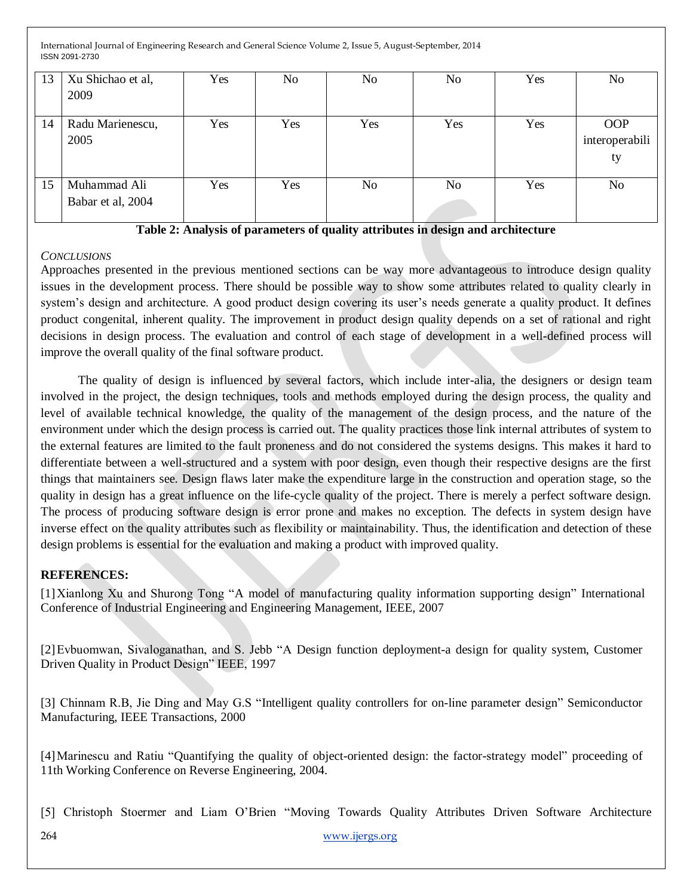| 13 | Xu Shichao et al,<br>2009         | Yes | N <sub>o</sub> | No  | No  | Yes | No                                 |
|----|-----------------------------------|-----|----------------|-----|-----|-----|------------------------------------|
| 14 | Radu Marienescu,<br>2005          | Yes | Yes            | Yes | Yes | Yes | <b>OOP</b><br>interoperabili<br>ty |
| 15 | Muhammad Ali<br>Babar et al, 2004 | Yes | Yes            | No  | No  | Yes | N <sub>0</sub>                     |

**Table 2: Analysis of parameters of quality attributes in design and architecture**

### *CONCLUSIONS*

Approaches presented in the previous mentioned sections can be way more advantageous to introduce design quality issues in the development process. There should be possible way to show some attributes related to quality clearly in system's design and architecture. A good product design covering its user's needs generate a quality product. It defines product congenital, inherent quality. The improvement in product design quality depends on a set of rational and right decisions in design process. The evaluation and control of each stage of development in a well-defined process will improve the overall quality of the final software product.

 The quality of design is influenced by several factors, which include inter-alia, the designers or design team involved in the project, the design techniques, tools and methods employed during the design process, the quality and level of available technical knowledge, the quality of the management of the design process, and the nature of the environment under which the design process is carried out. The quality practices those link internal attributes of system to the external features are limited to the fault proneness and do not considered the systems designs. This makes it hard to differentiate between a well-structured and a system with poor design, even though their respective designs are the first things that maintainers see. Design flaws later make the expenditure large in the construction and operation stage, so the quality in design has a great influence on the life-cycle quality of the project. There is merely a perfect software design. The process of producing software design is error prone and makes no exception. The defects in system design have inverse effect on the quality attributes such as flexibility or maintainability. Thus, the identification and detection of these design problems is essential for the evaluation and making a product with improved quality.

### **REFERENCES:**

[1]Xianlong Xu and Shurong Tong "A model of manufacturing quality information supporting design" International Conference of Industrial Engineering and Engineering Management, IEEE, 2007

[2] Evbuomwan, Sivaloganathan, and S. Jebb "A Design function deployment-a design for quality system, Customer Driven Quality in Product Design" IEEE, 1997

[3] Chinnam R.B, Jie Ding and May G.S "Intelligent quality controllers for on-line parameter design" Semiconductor Manufacturing, IEEE Transactions, 2000

[4] Marinescu and Ratiu "Quantifying the quality of object-oriented design: the factor-strategy model" proceeding of 11th Working Conference on Reverse Engineering, 2004.

[5] Christoph Stoermer and Liam O'Brien "Moving Towards Quality Attributes Driven Software Architecture